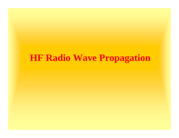## **HF Radio Wave Propagation**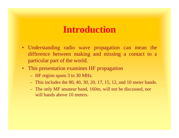#### **Introduction**

- Understanding radio wave propagation can mean the difference between making and missing a contact to a particular part of the world.
- This presentation examines HF propagation
	- $\mathcal{L}_{\mathcal{A}}$ HF region spans 3 to 30 MHz.
	- This includes the 80, 40, 30, 20, 17, 15, 12, and 10 meter bands.
	- The only MF amateur band, 160m, will not be discussed, nor will bands above 10 meters.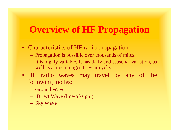## **Overview of HF Propagation**

- Characteristics of HF radio propagation
	- Propagation is possible over thousands of miles.
	- It is highly variable. It has daily and seasonal variation, as well as a much longer 11 year cycle.
- HF radio waves may travel by any of the following modes:
	- Ground Wave
	- Direct Wave (line-of-sight)
	- Sky Wave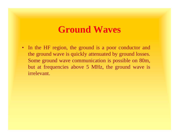#### **Ground Waves**

 $\bullet$ In the HF region, the ground is a poor conductor and the ground wave is quickly attenuated by ground losses. Some ground wave communication is possible on 80m, but at frequencies above 5 MHz, the ground wave is irrelevant.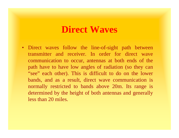#### **Direct Waves**

• Direct waves follow the line-of-sight path between transmitter and receiver. In order for direct wave communication to occur, antennas at both ends of the path have to have low angles of radiation (so they can "see" each other). This is difficult to do on the lower bands, and as a result, direct wave communication is normally restricted to bands above 20m. Its range is determined by the height of both antennas and generally less than 20 miles.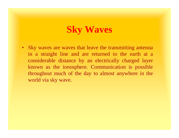# **Sky Waves**

• Sky waves are waves that leave the transmitting antenna in a straight line and are returned to the earth at a considerable distance by an electrically charged layer known as the ionosphere. Communication is possible throughout much of the day to almost anywhere in the world via sky wave.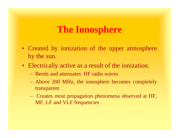- Created by ionization of the upper atmosphere by the sun.
- Electrically active as a result of the ionization.
	- Bends and attenuates HF radio waves
	- $\mathcal{L}_{\mathcal{A}}$  Above 200 MHz, the ionosphere becomes completely transparent
	- $\mathcal{L}_{\mathcal{A}}$  , and the set of  $\mathcal{L}_{\mathcal{A}}$  Creates most propagation phenomena observed at HF, MF, LF and VLF frequencies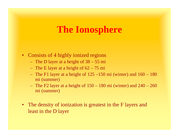- $\bullet$  Consists of 4 highly ionized regions
	- The D layer at a height of 38 55 mi
	- –The E layer at a height of 62 – 75 mi
	- –The F1 layer at a height of  $125 - 150$  mi (winter) and  $160 - 180$ mi (summer)
	- $\mathcal{L}_{\mathcal{A}}$ The F2 layer at a height of  $150 - 180$  mi (winter) and  $240 - 260$ mi (summer)
- $\bullet$  The density of ionization is greatest in the F layers and least in the D layer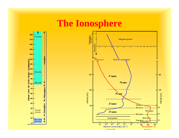

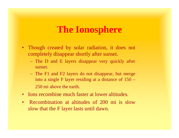- Though created by solar radiation, it does not completely disappear shortly after sunset.
	- The D and E layers disappear very quickly after sunset.
	- The F1 and F2 layers do not disappear, but merge into a single F layer residing at a distance of 150 – 250 mi above the earth.
- $\bullet$ Ions recombine much faster at lower altitudes.
- $\bullet$  Recombination at altitudes of 200 mi is slow slow that the F layer lasts until dawn.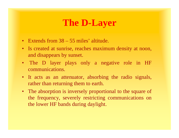## **The D-Layer**

- Extends from 38 55 miles' altitude.
- Is created at sunrise, reaches maximum density at noon, and disappears by sunset.
- The D layer plays only a negative role in HF communications.
- It acts as an attenuator, absorbing the radio signals, rather than returning them to earth.
- The absorption is inversely proportional to the square of the frequency, severely restricting communications on the lower HF bands during daylight.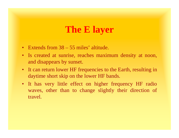## **The E layer**

- Extends from 38 55 miles' altitude.
- Is created at sunrise, reaches maximum density at noon, and disappears by sunset.
- It can return lower HF frequencies to the Earth, resulting in daytime short skip on the lower HF bands.
- It has very little effect on higher frequency HF radio waves, other than to change slightly their direction of travel.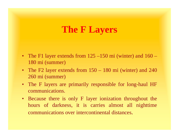## **The F Layers**

- The F1 layer extends from 125 –150 mi (winter) and 160 180 mi (summer)
- The F2 layer extends from  $150 180$  mi (winter) and 240 260 mi (summer)
- The F layers are primarily responsible for long-haul HF communications.
- Because there is only F layer ionization throughout the hours of darkness, it is carries almost all nighttime communications over intercontinental distances.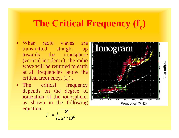# **The Critical Frequency (f<sub>c</sub>)**

- • When radio waves are transmitted straight up towards the ionosphere (vertical incidence), the radio wave will be returned to earth at all frequencies below the critical frequency,  $(f_c)$ .
- The critical frequency depends on the degree of ionization of the ionosphere, as shown in the following equation:

$$
f_{cr} = \sqrt{\frac{N_e}{1.24 * 10^{10}}}
$$

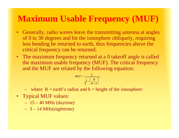## **Maximum Usable Frequency (MUF)**

- $\bullet$  Generally, radio waves leave the transmitting antenna at angles of 0 to 30 degrees and hit the ionosphere obliquely, requiring less bending be returned to earth, thus frequencies above the critical frequency can be returned.
- $\bullet$ The maximum frequency returned at a 0 takeoff angle is called the maximum usable frequency (MUF). The critical frequency and the MUF are related by the following equation:

$$
MUF = \frac{f_{cr}}{\sqrt{1 - \left(\frac{R}{R+h}\right)^2}}
$$

where  $R =$  earth's radius and  $h =$  height of the ionosphere:

- Typical MUF values:
	- 15 40 MHz (daytime)
	- 3 14 MHz(nighttime)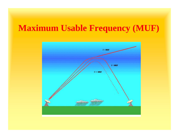## **Maximum Usable Frequency (MUF)**

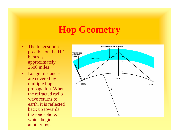# **Hop Geometry**

- $\bullet$  The longest hop possible on the HF bands is approximately 2500 miles
- • Longer distances are covered by multiple hop propagation. When the refracted radio wave returns to earth, it is reflected back up towards the ionosphere, which begins another hop.

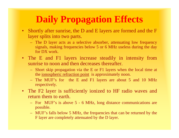# **Daily Propagation Effects**

- Shortly after sunrise, the D and E layers are formed and the F layer splits into two parts.
	- The D layer acts as a selective absorber, attenuating low frequency signals, making frequencies below 5 or 6 MHz useless during the day for DX work.
- The E and F1 layers increase steadily in intensity from sunrise to noon and then decreases thereafter.
	- Short skip propagation via the E or F1 layers when the local time at the ionospheric refraction point is approximately noon.
	- The MUF's for the E and F1 layers are about 5 and 10 MHz respectively.
- The F2 layer is sufficiently ionized to HF radio waves and return them to earth.
	- For MUF's is above 5 6 MHz, long distance communications are possible.
	- MUF's falls below 5 MHz, the frequencies that can be returned by the F layer are completely attenuated by the D layer.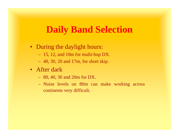#### **Daily Band Selection**

- During the daylight hours:
	- 15, 12, and 10m for multi-hop DX.
	- 40, 30, 20 and 17m, for short skip.
- After dark
	- 80, 40, 30 and 20m for DX.
	- Noise levels on 80m can make working across continents very difficult.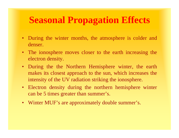# **Seasonal Propagation Effects**

- During the winter months, the atmosphere is colder and denser.
- The ionosphere moves closer to the earth increasing the electron density.
- During the the Northern Hemisphere winter, the earth makes its closest approach to the sun, which increases the intensity of the UV radiation striking the ionosphere.
- Electron density during the northern hemisphere winter can be 5 times greater than summer's.
- Winter MUF's are approximately double summer's.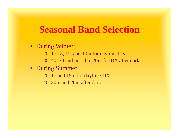#### **Seasonal Band Selection**

- During Winter:
	- 20, 17,15, 12, and 10m for daytime DX.
	- 80, 40, 30 and possible 20m for DX after dark.
- During Summer
	- 20, 17 and 15m for daytime DX.
	- 40, 30m and 20m after dark.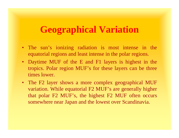## **Geographical Variation**

- The sun's ionizing radiation is most intense in the equatorial regions and least intense in the polar regions.
- Daytime MUF of the E and F1 layers is highest in the tropics. Polar region MUF's for these layers can be three times lower.
- • The F2 layer shows a more complex geographical MUF variation. While equatorial F2 MUF's are generally higher that polar F2 MUF's, the highest F2 MUF often occurs somewhere near Japan and the lowest over Scandinavia.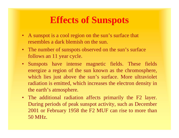- A sunspot is a cool region on the sun's surface that resembles a dark blemish on the sun.
- The number of sunspots observed on the sun's surface follows an 11 year cycle.
- Sunspots have intense magnetic fields. These fields energize a region of the sun known as the chromosphere, which lies just above the sun's surface. More ultraviolet radiation is emitted, which increases the electron density in the earth's atmosphere.
- The additional radiation affects primarily the F2 layer. During periods of peak sunspot activity, such as December 2001 or February 1958 the F2 MUF can rise to more than 50 MHz.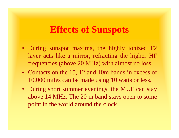- During sunspot maxima, the highly ionized F2 layer acts like a mirror, refracting the higher HF frequencies (above 20 MHz) with almost no loss.
- Contacts on the 15, 12 and 10m bands in excess of 10,000 miles can be made using 10 watts or less.
- During short summer evenings, the MUF can stay above 14 MHz. The 20 m band stays open to some point in the world around the clock.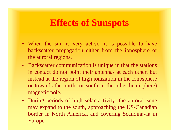- When the sun is very active, it is possible to have backscatter propagation either from the ionosphere or the auroral regions.
- Backscatter communication is unique in that the stations in contact do not point their antennas at each other, but instead at the region of high ionization in the ionosphere or towards the north (or south in the other hemisphere) magnetic pole.
- $\bullet$  During periods of high solar activity, the auroral zone may expand to the south, approaching the US-Canadian border in North America, and covering Scandinavia in Europe.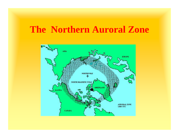## **The Northern Auroral Zone**

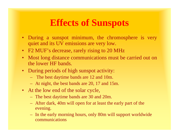- During a sunspot minimum, the chromosphere is very quiet and its UV emissions are very low.
- F2 MUF's decrease, rarely rising to 20 MHz
- $\bullet$  Most long distance communications must be carried out on the lower HF bands.
- During periods of high sunspot activity:
	- The best daytime bands are 12 and 10m.
	- At night, the best bands are 20, 17 and 15m.
- At the low end of the solar cycle,
	- The best daytime bands are 30 and 20m.
	- After dark, 40m will open for at least the early part of the evening.
	- $\mathcal{L}_{\mathcal{A}}$  In the early morning hours, only 80m will support worldwide communications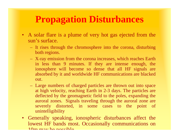## **Propagation Disturbances**

- A solar flare is a plume of very hot gas ejected from the sun's surface.
	- $\mathcal{L}_{\mathcal{A}}$  It rises through the chromosphere into the corona, disturbing both regions.
	- X-ray emission from the corona increases, which reaches Earth in less than 9 minutes. If they are intense enough, the ionosphere will become so dense that all HF signals are absorbed by it and worldwide HF communications are blacked out.
	- $\mathcal{L}_{\mathcal{A}}$  Large numbers of charged particles are thrown out into space at high velocity, reaching Earth in 2-3 days. The particles are deflected by the geomagnetic field to the poles, expanding the auroral zones. Signals traveling through the auroral zone are severely distorted, in some cases to the point of unintelligibility
- Generally speaking, ionospheric disturbances affect the lowest HF bands most. Occasionally communications on  $10m$  may be possible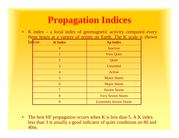•K index – a local index of geomagnetic activity computed every three hours at a variety of points on Earth. The K scale is shown

| below. | <b>K</b> Index | <b>Ap Index</b>               |
|--------|----------------|-------------------------------|
|        | $\theta$       | Inactive                      |
|        |                | <b>Very Quiet</b>             |
|        | $\overline{2}$ | Quiet                         |
|        | 3              | Unsettled                     |
|        | $\overline{4}$ | Active                        |
|        | 5              | <b>Minor Storm</b>            |
|        | 6              | <b>Major Storm</b>            |
|        | 7              | <b>Severe Storm</b>           |
|        | 8              | <b>Very Severe Storm</b>      |
|        | 9              | <b>Extremely Severe Storm</b> |

 $\bullet$ The best HF propagation occurs when K is less than 5. A K index less than 3 is usually a good indicator of quiet conditions on 80 and 40m.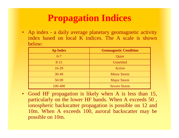• Ap index - a daily average planetary geomagnetic activity index based on local K indices. The A scale is shown below:

| <b>Ap Index</b> | <b>Geomagnetic Condition</b> |
|-----------------|------------------------------|
| $0 - 7$         | Quiet                        |
| $8 - 15$        | Unsettled                    |
| $16-29$         | Active                       |
| 30-49           | <b>Minor Storm</b>           |
| 50-99           | <b>Major Storm</b>           |
| 100-400         | <b>Severe Storm</b>          |

 $\bullet$  Good HF propagation is likely when A is less than 15, particularly on the lower HF bands. When A exceeds 50 , ionospheric backscatter propagation is possible on 12 and 10m. When A exceeds 100, auroral backscatter may be possible on 10m.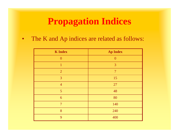•The K and Ap indices are related as follows:

| <b>K</b> Index | <b>Ap Index</b> |
|----------------|-----------------|
| $\overline{0}$ | $\overline{0}$  |
| 1              | $\overline{3}$  |
| $\overline{2}$ | $\overline{7}$  |
| $\overline{3}$ | 15              |
| $\overline{4}$ | 27              |
| $\overline{5}$ | 48              |
| 6              | 80              |
| $\overline{7}$ | 140             |
| 8              | 240             |
| $\overline{Q}$ | 400             |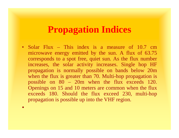• Solar Flux – This index is a measure of 10.7 cm microwave energy emitted by the sun. A flux of 63.75 corresponds to a spot free, quiet sun. As the flux number increases, the solar activity increases. Single hop HF propagation is normally possible on bands below 20m when the flux is greater than 70. Multi-hop propagation is possible on 80 – 20m when the flux exceeds 120. Openings on 15 and 10 meters are common when the flux exceeds 180. Should the flux exceed 230, multi-hop propagation is possible up into the VHF region.

•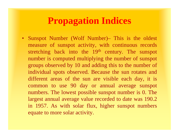• Sunspot Number (Wolf Number)– This is the oldest measure of sunspot activity, with continuous records stretching back into the 19<sup>th</sup> century. The sunspot number is computed multiplying the number of sunspot groups observed by 10 and adding this to the number of individual spots observed. Because the sun rotates and different areas of the sun are visible each day, it is common to use 90 day or annual average sunspot numbers. The lowest possible sunspot number is 0. The largest annual average value recorded to date was 190.2 in 1957. As with solar flux, higher sunspot numbers equate to more solar activity.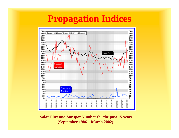

#### **Solar Flux and Sunspot Number for the past 15 years (September 1986 – March 2002):**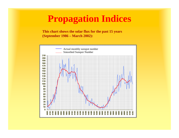**This chart shows the solar flux for the past 15 years (September 1986 – March 2002):**